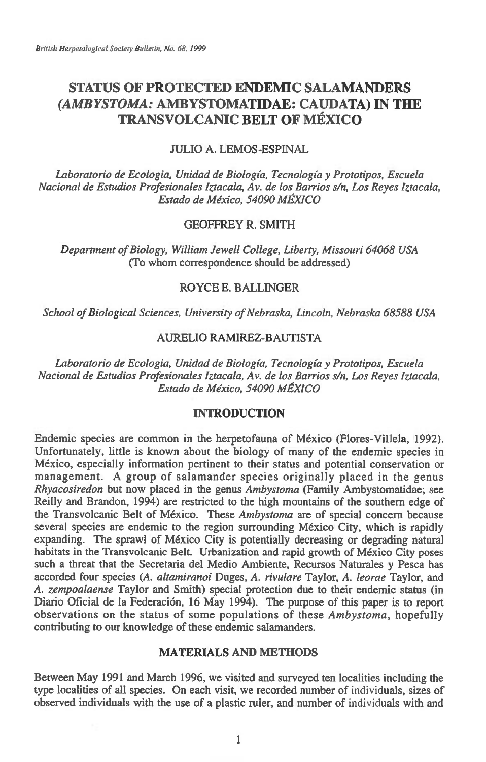# **STATUS OF PROTECTED ENDEMIC SALAMANDERS**  *(AMBYSTOMA:* **AMBYSTOMATIDAE: CAUDATA) IN THE TRANSVOLCANIC BELT OF MEXICO**

# JULIO A. LEMOS-ESPINAL

*Laboratorio de Ecologia, Unidad de Biologia, Tecnologia y Prototipos, Escuela Nacional de Estudios Profesionales Iztacala, Av. de los Barrios s/n, Los Reyes Iztacala, Estado de Mexico, 54090 MEXICO* 

# GEOFFREY R. SMITH

*Department of Biology, William Jewell College, Liberty, Missouri 64068 USA*  (To whom correspondence should be addressed)

# ROYCE E. BALLINGER

*School of Biological Sciences, University of Nebraska, Lincoln, Nebraska 68588 USA* 

# AURELIO RAMIREZ-BAUTISTA

*Laboratorio de Ecologia, Unidad de Biologia, Tecnologia y Prototipos, Escuela Nacional de Estudios Profesionales Iztacala, Av. de los Barrios s/n, Los Reyes Iztacala, Estado de Mexico, 54090 MEXICO* 

# **INTRODUCTION**

Endemic species are common in the herpetofauna of Mexico (Flores-Villela, 1992). Unfortunately, little is known about the biology of many of the endemic species in Mexico, especially information pertinent to their status and potential conservation or management. A group of salamander species originally placed in the genus *Rhyacosiredot:* but now placed in the genus *Ambystoma* (Family Ambystomatidae; see Reilly and Brandon, 1994) are restricted to the high mountains of the southern edge of the Transvolcanic Belt of Mexico. These *Ambystoma* are of special concern because several species are endemic to the region surrounding Mexico City, which is rapidly expanding. The sprawl of Mexico City is potentially decreasing or degrading natural habitats in the Transvolcanic Belt. Urbanization and rapid growth of Mexico City poses such a threat that the Secretaria del Medio Ambiente, Recursos Naturales y Pesca has accorded four species *(A. altamiranoi* Duges, A. *rivulare* Taylor, A. *leorae* Taylor, and A. *zempoalaense* Taylor and Smith) special protection due to their endemic status (in Diario Oficial de la Federacion, 16 May 1994). The purpose of this paper is to report observations on the status of some populations of these *Ambystoma,* hopefully contributing to our knowledge of these endemic salamanders.

# **MATERIALS AND METHODS**

Between May 1991 and March 1996, we visited and surveyed ten localities including the type localities of all species. On each visit, we recorded number of individuals, sizes of observed individuals with the use of a plastic ruler, and number of individuals with and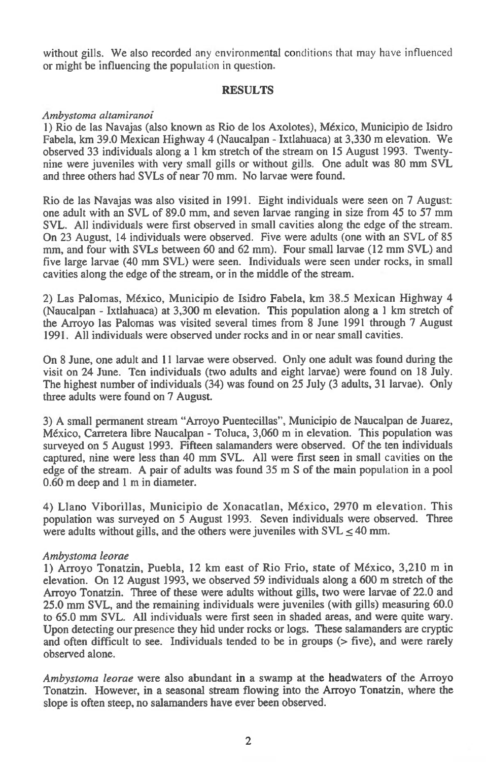without gills. We also recorded any environmental conditions that may have influenced or might be influencing the population in question.

## **RESULTS**

## *Ambystoma altamiranoi*

1) Rio de las Navajas (also known as Rio de los Axolotes), Mexico, Municipio de Isidro Fabela, km 39.0 Mexican Highway 4 (Naucalpan - Ixtlahuaca) at 3,330 m elevation. We observed 33 individuals along a 1 km stretch of the stream on 15 August 1993. Twentynine were juveniles with very small gills or without gills. One adult was 80 mm SVL and three others had SVLs of near 70 mm. No larvae were found.

Rio de las Navajas was also visited in 1991. Eight individuals were seen on 7 August: one adult with an SVL of 89.0 mm, and seven larvae ranging in size from 45 to 57 mm SVL. All individuals were first observed in small cavities along the edge of the stream. On 23 August, 14 individuals were observed. Five were adults (one with an SVL of 85 mm, and four with SVLs between 60 and 62 mm). Four small larvae (12 mm SVL) and five large larvae (40 mm SVL) were seen. Individuals were seen under rocks, in small cavities along the edge of the stream, or in the middle of the stream.

2) Las Palomas, Mexico, Municipio de Isidro Fabela, km 38.5 Mexican Highway 4 (Naucalpan - Ixtlahuaca) at 3,300 m elevation. This population along a 1 km stretch of the Arroyo las Palomas was visited several times from 8 June 1991 through 7 August 1991. All individuals were observed under rocks and in or near small cavities.

On 8 June, one adult and 11 larvae were observed. Only one adult was found during the visit on 24 June. Ten individuals (two adults and eight larvae) were found on 18 July. The highest number of individuals (34) was found on 25 July (3 adults, 31 larvae). Only three adults were found on 7 August.

3) A small permanent stream "Arroyo Puentecillas", Municipio de Naucalpan de Juarez, Mexico, Carretera libre Naucalpan - Toluca, 3,060 m in elevation. This population was surveyed on 5 August 1993. Fifteen salamanders were observed. Of the ten individuals captured, nine were less than 40 mm SVL. All were first seen in small cavities on the edge of the stream. A pair of adults was found 35 m S of the main population in a pool 0.60 m deep and 1 m in diameter.

4) Llano Viborillas, Municipio de Xonacatlan, Mexico, 2970 m elevation. This population was surveyed on 5 August 1993. Seven individuals were observed. Three were adults without gills, and the others were juveniles with  $SVL \leq 40$  mm.

## *Ambystoma leorae*

1) Arroyo Tonatzin, Puebla, 12 km east of Rio Frio, state of Mexico, 3,210 m in elevation. On 12 August 1993, we observed 59 individuals along a 600 m stretch of the Arroyo Tonatzin. Three of these were adults without gills, two were larvae of 22.0 and 25.0 mm SVL, and the remaining individuals were juveniles (with gills) measuring 60.0 to 65.0 mm SVL. All individuals were first seen in shaded areas, and were quite wary. Upon detecting our presence they hid under rocks or logs. These salamanders are cryptic and often difficult to see. Individuals tended to be in groups  $($  five), and were rarely observed alone.

*Ambystoma leorae* were also abundant in a swamp at the headwaters of the Arroyo Tonatzin. However, in a seasonal stream flowing into the Arroyo Tonatzin, where the slope is often steep, no salamanders have ever been observed.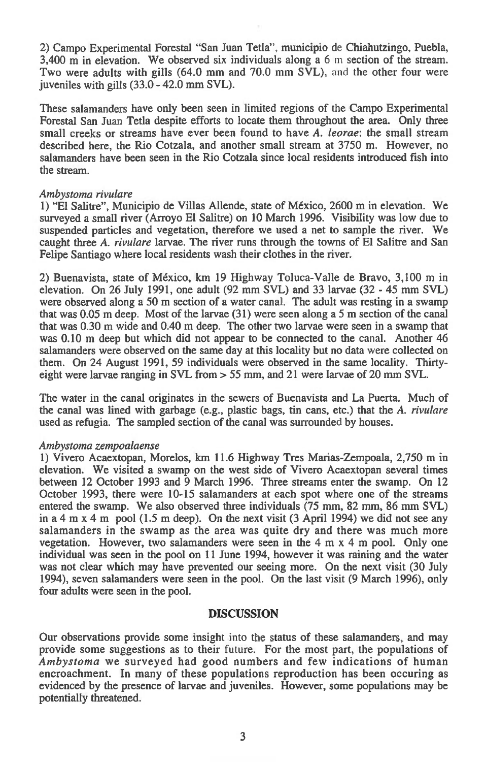2) Campo Experimental Forestal "San Juan Tetla", municipio de Chiahutzingo, Puebla, 3,400 m in elevation. We observed six individuals along a 6 m section of the stream. Two were adults with gills (64.0 mm and 70.0 mm SVL), and the other four were juveniles with gills (33.0 - 42.0 mm SVL).

These salamanders have only been seen in limited regions of the Campo Experimental Forestal San Juan Tetla despite efforts to locate them throughout the area. Only three small creeks or streams have ever been found to have *A. leorae:* the small stream described here, the Rio Cotzala, and another small stream at 3750 m. However, no salamanders have been seen in the Rio Cotzala since local residents introduced fish into the stream.

#### *Ambystoma rivulare*

1) "El Salitre", Municipio de Villas Allende, state of Mexico, 2600 m in elevation. We surveyed a small river (Arroyo El Salitre) on 10 March 1996. Visibility was low due to suspended particles and vegetation, therefore we used a net to sample the river. We caught three *A. rivulare* larvae. The river runs through the towns of El Salitre and San Felipe Santiago where local residents wash their clothes in the river.

2) Buenavista, state of Mexico, km 19 Highway Toluca-Valle de Bravo, 3,100 m in elevation. On 26 July 1991, one adult (92 mm SVL) and 33 larvae (32 - 45 mm SVL) were observed along a 50 m section of a water canal. The adult was resting in a swamp that was 0.05 m deep. Most of the larvae (31) were seen along a 5 m section of the canal that was 0.30 m wide and 0.40 m deep. The other two larvae were seen in a swamp that was 0.10 m deep but which did not appear to be connected to the canal. Another 46 salamanders were observed on the same day at this locality but no data were collected on them. On 24 August 1991, 59 individuals were observed in the same locality. Thirtyeight were larvae ranging in SVL from > 55 mm, and 21 were larvae of 20 mm SVL.

The water in the canal originates in the sewers of Buenavista and La Puerta. Much of the canal was lined with garbage (e.g., plastic bags, tin cans, etc.) that the *A. rivulare*  used as refugia. The sampled section of the canal was surrounded by houses.

## *Ambystoma zempoalaense*

1) Vivero Acaextopan, Morelos, km 11.6 Highway Tres Marias-Zempoala, 2,750 m in elevation. We visited a swamp on the west side of Vivero Acaextopan several times between 12 October 1993 and 9 March 1996. Three streams enter the swamp. On 12 October 1993, there were 10-15 salamanders at each spot where one of the streams entered the swamp. We also observed three individuals (75 mm, 82 mm, 86 mm SVL) in a 4 m x 4 m pool (1.5 m deep). On the next visit (3 April 1994) we did not see any salamanders in the swamp as the area was quite dry and there was much more vegetation. However, two salamanders were seen in the 4 m x 4 m pool. Only one individual was seen in the pool on 11 June 1994, however it was raining and the water was not clear which may have prevented our seeing more. On the next visit (30 July 1994), seven salamanders were seen in the pool. On the last visit (9 March 1996), only four adults were seen in the pool.

## **DISCUSSION**

Our observations provide some insight into the status of these salamanders, and may provide some suggestions as to their future. For the most part, the populations of *Ambystoma* we surveyed had good numbers and few indications of human encroachment. In many of these populations reproduction has been occuring as evidenced by the presence of larvae and juveniles. However, some populations may be potentially threatened.